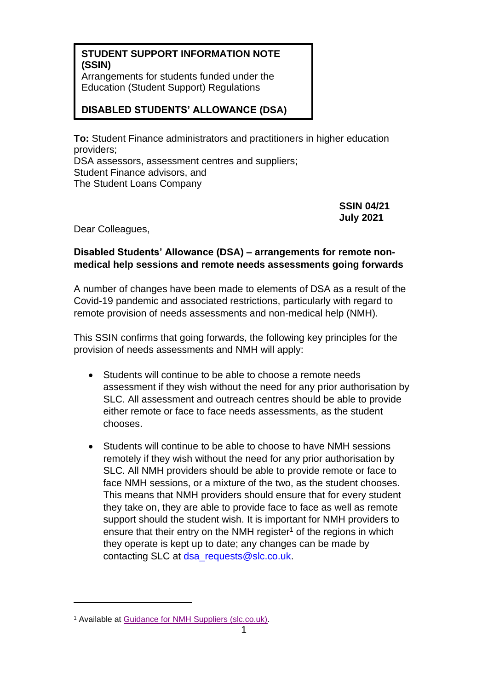## **STUDENT SUPPORT INFORMATION NOTE (SSIN)**

Arrangements for students funded under the Education (Student Support) Regulations

## **DISABLED STUDENTS' ALLOWANCE (DSA)**

**To:** Student Finance administrators and practitioners in higher education providers; DSA assessors, assessment centres and suppliers; Student Finance advisors, and The Student Loans Company

> **SSIN 04/21 July 2021**

Dear Colleagues,

## **Disabled Students' Allowance (DSA) – arrangements for remote nonmedical help sessions and remote needs assessments going forwards**

A number of changes have been made to elements of DSA as a result of the Covid-19 pandemic and associated restrictions, particularly with regard to remote provision of needs assessments and non-medical help (NMH).

This SSIN confirms that going forwards, the following key principles for the provision of needs assessments and NMH will apply:

- Students will continue to be able to choose a remote needs assessment if they wish without the need for any prior authorisation by SLC. All assessment and outreach centres should be able to provide either remote or face to face needs assessments, as the student chooses.
- Students will continue to be able to choose to have NMH sessions remotely if they wish without the need for any prior authorisation by SLC. All NMH providers should be able to provide remote or face to face NMH sessions, or a mixture of the two, as the student chooses. This means that NMH providers should ensure that for every student they take on, they are able to provide face to face as well as remote support should the student wish. It is important for NMH providers to ensure that their entry on the NMH register<sup>1</sup> of the regions in which they operate is kept up to date; any changes can be made by contacting SLC at [dsa\\_requests@slc.co.uk.](mailto:dsa_requests@slc.co.uk)

<sup>1</sup> Available at [Guidance for NMH Suppliers \(slc.co.uk\).](https://www.practitioners.slc.co.uk/exchange-blog/2020/september/10092020-guidance-for-nmh-suppliers/)